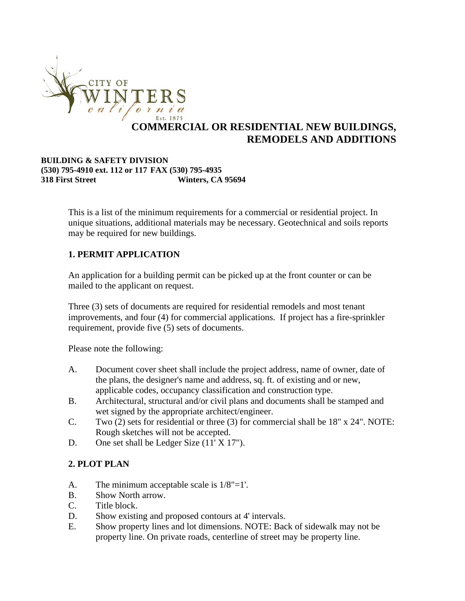

# **COMMERCIAL OR RESIDENTIAL NEW BUILDINGS, REMODELS AND ADDITIONS**

#### **BUILDING & SAFETY DIVISION (530) 795-4910 ext. 112 or 117 FAX (530) 795-4935 318 First Street Winters, CA 95694**

This is a list of the minimum requirements for a commercial or residential project. In unique situations, additional materials may be necessary. Geotechnical and soils reports may be required for new buildings.

#### **1. PERMIT APPLICATION**

An application for a building permit can be picked up at the front counter or can be mailed to the applicant on request.

Three (3) sets of documents are required for residential remodels and most tenant improvements, and four (4) for commercial applications. If project has a fire-sprinkler requirement, provide five (5) sets of documents.

Please note the following:

- A. Document cover sheet shall include the project address, name of owner, date of the plans, the designer's name and address, sq. ft. of existing and or new, applicable codes, occupancy classification and construction type.
- B. Architectural, structural and/or civil plans and documents shall be stamped and wet signed by the appropriate architect/engineer.
- C. Two (2) sets for residential or three (3) for commercial shall be 18" x 24". NOTE: Rough sketches will not be accepted.
- D. One set shall be Ledger Size (11' X 17").

### **2. PLOT PLAN**

- A. The minimum acceptable scale is 1/8"=1'.
- B. Show North arrow.
- C. Title block.
- D. Show existing and proposed contours at 4' intervals.
- E. Show property lines and lot dimensions. NOTE: Back of sidewalk may not be property line. On private roads, centerline of street may be property line.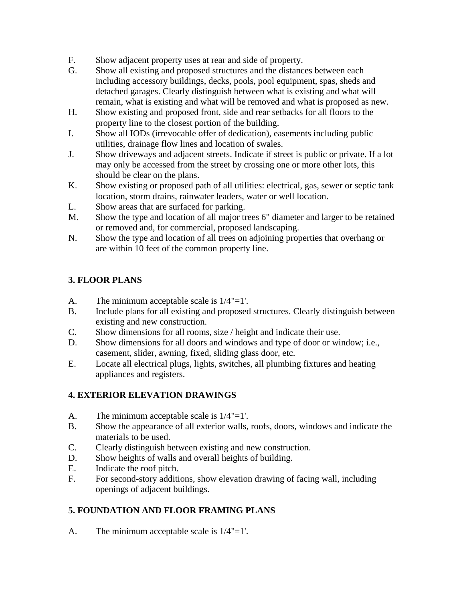- F. Show adjacent property uses at rear and side of property.
- G. Show all existing and proposed structures and the distances between each including accessory buildings, decks, pools, pool equipment, spas, sheds and detached garages. Clearly distinguish between what is existing and what will remain, what is existing and what will be removed and what is proposed as new.
- H. Show existing and proposed front, side and rear setbacks for all floors to the property line to the closest portion of the building.
- I. Show all IODs (irrevocable offer of dedication), easements including public utilities, drainage flow lines and location of swales.
- J. Show driveways and adjacent streets. Indicate if street is public or private. If a lot may only be accessed from the street by crossing one or more other lots, this should be clear on the plans.
- K. Show existing or proposed path of all utilities: electrical, gas, sewer or septic tank location, storm drains, rainwater leaders, water or well location.
- L. Show areas that are surfaced for parking.
- M. Show the type and location of all major trees 6" diameter and larger to be retained or removed and, for commercial, proposed landscaping.
- N. Show the type and location of all trees on adjoining properties that overhang or are within 10 feet of the common property line.

# **3. FLOOR PLANS**

- A. The minimum acceptable scale is 1/4"=1'.
- B. Include plans for all existing and proposed structures. Clearly distinguish between existing and new construction.
- C. Show dimensions for all rooms, size / height and indicate their use.
- D. Show dimensions for all doors and windows and type of door or window; i.e., casement, slider, awning, fixed, sliding glass door, etc.
- E. Locate all electrical plugs, lights, switches, all plumbing fixtures and heating appliances and registers.

### **4. EXTERIOR ELEVATION DRAWINGS**

- A. The minimum acceptable scale is 1/4"=1'.
- B. Show the appearance of all exterior walls, roofs, doors, windows and indicate the materials to be used.
- C. Clearly distinguish between existing and new construction.
- D. Show heights of walls and overall heights of building.
- E. Indicate the roof pitch.
- F. For second-story additions, show elevation drawing of facing wall, including openings of adjacent buildings.

### **5. FOUNDATION AND FLOOR FRAMING PLANS**

A. The minimum acceptable scale is 1/4"=1'.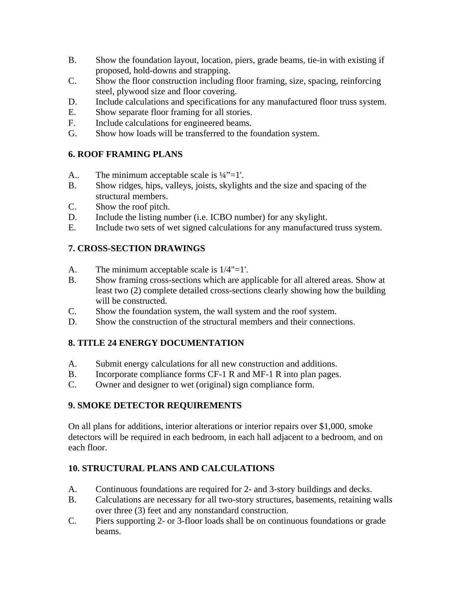- B. Show the foundation layout, location, piers, grade beams, tie-in with existing if proposed, hold-downs and strapping.
- C. Show the floor construction including floor framing, size, spacing, reinforcing steel, plywood size and floor covering.
- D. Include calculations and specifications for any manufactured floor truss system.
- E. Show separate floor framing for all stories.
- F. Include calculations for engineered beams.
- G. Show how loads will be transferred to the foundation system.

#### **6. ROOF FRAMING PLANS**

- A.. The minimum acceptable scale is  $\frac{1}{4}$ "=1'.
- B. Show ridges, hips, valleys, joists, skylights and the size and spacing of the structural members.
- C. Show the roof pitch.
- D. Include the listing number (i.e. ICBO number) for any skylight.
- E. Include two sets of wet signed calculations for any manufactured truss system.

### **7. CROSS-SECTION DRAWINGS**

- A. The minimum acceptable scale is 1/4"=1'.
- B. Show framing cross-sections which are applicable for all altered areas. Show at least two (2) complete detailed cross-sections clearly showing how the building will be constructed.
- C. Show the foundation system, the wall system and the roof system.
- D. Show the construction of the structural members and their connections.

#### **8. TITLE 24 ENERGY DOCUMENTATION**

- A. Submit energy calculations for all new construction and additions.
- B. Incorporate compliance forms CF-1 R and MF-1 R into plan pages.
- C. Owner and designer to wet (original) sign compliance form.

#### **9. SMOKE DETECTOR REQUIREMENTS**

On all plans for additions, interior alterations or interior repairs over \$1,000, smoke detectors will be required in each bedroom, in each hall adjacent to a bedroom, and on each floor.

### **10. STRUCTURAL PLANS AND CALCULATIONS**

- A. Continuous foundations are required for 2- and 3-story buildings and decks.
- B. Calculations are necessary for all two-story structures, basements, retaining walls over three (3) feet and any nonstandard construction.
- C. Piers supporting 2- or 3-floor loads shall be on continuous foundations or grade beams.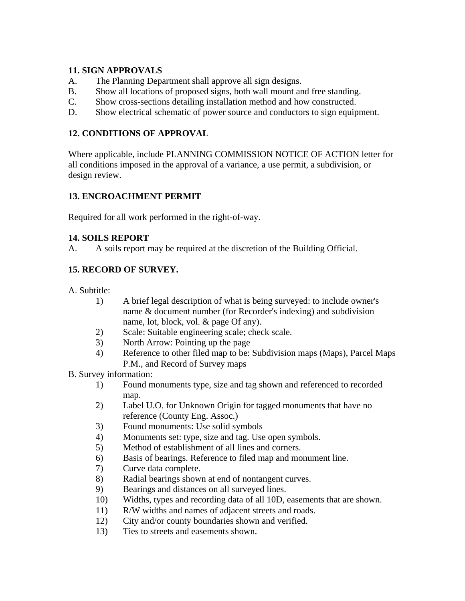#### **11. SIGN APPROVALS**

- A. The Planning Department shall approve all sign designs.
- B. Show all locations of proposed signs, both wall mount and free standing.
- C. Show cross-sections detailing installation method and how constructed.
- D. Show electrical schematic of power source and conductors to sign equipment.

### **12. CONDITIONS OF APPROVAL**

Where applicable, include PLANNING COMMISSION NOTICE OF ACTION letter for all conditions imposed in the approval of a variance, a use permit, a subdivision, or design review.

# **13. ENCROACHMENT PERMIT**

Required for all work performed in the right-of-way.

### **14. SOILS REPORT**

A. A soils report may be required at the discretion of the Building Official.

# **15. RECORD OF SURVEY.**

A. Subtitle:

- 1) A brief legal description of what is being surveyed: to include owner's name & document number (for Recorder's indexing) and subdivision name, lot, block, vol. & page Of any).
- 2) Scale: Suitable engineering scale; check scale.
- 3) North Arrow: Pointing up the page
- 4) Reference to other filed map to be: Subdivision maps (Maps), Parcel Maps P.M., and Record of Survey maps

#### B. Survey information:

- 1) Found monuments type, size and tag shown and referenced to recorded map.
- 2) Label U.O. for Unknown Origin for tagged monuments that have no reference (County Eng. Assoc.)
- 3) Found monuments: Use solid symbols
- 4) Monuments set: type, size and tag. Use open symbols.
- 5) Method of establishment of all lines and corners.
- 6) Basis of bearings. Reference to filed map and monument line.
- 7) Curve data complete.
- 8) Radial bearings shown at end of nontangent curves.
- 9) Bearings and distances on all surveyed lines.
- 10) Widths, types and recording data of all 10D, easements that are shown.
- 11) R/W widths and names of adjacent streets and roads.
- 12) City and/or county boundaries shown and verified.
- 13) Ties to streets and easements shown.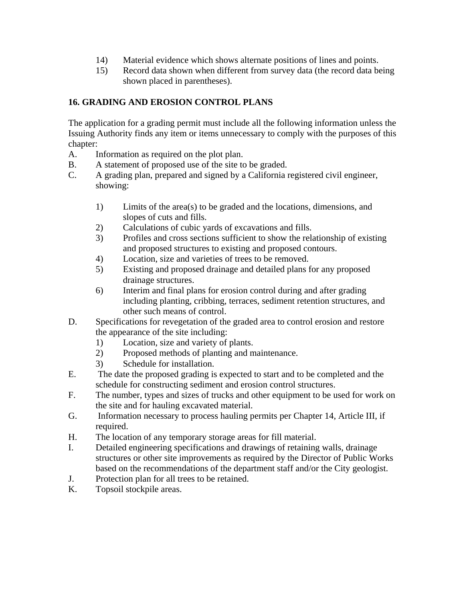- 14) Material evidence which shows alternate positions of lines and points.
- 15) Record data shown when different from survey data (the record data being shown placed in parentheses).

### **16. GRADING AND EROSION CONTROL PLANS**

The application for a grading permit must include all the following information unless the Issuing Authority finds any item or items unnecessary to comply with the purposes of this chapter:

- A. Information as required on the plot plan.
- B. A statement of proposed use of the site to be graded.
- C. A grading plan, prepared and signed by a California registered civil engineer, showing:
	- 1) Limits of the area(s) to be graded and the locations, dimensions, and slopes of cuts and fills.
	- 2) Calculations of cubic yards of excavations and fills.
	- 3) Profiles and cross sections sufficient to show the relationship of existing and proposed structures to existing and proposed contours.
	- 4) Location, size and varieties of trees to be removed.
	- 5) Existing and proposed drainage and detailed plans for any proposed drainage structures.
	- 6) Interim and final plans for erosion control during and after grading including planting, cribbing, terraces, sediment retention structures, and other such means of control.
- D. Specifications for revegetation of the graded area to control erosion and restore the appearance of the site including:
	- 1) Location, size and variety of plants.
	- 2) Proposed methods of planting and maintenance.
	- 3) Schedule for installation.
- E. The date the proposed grading is expected to start and to be completed and the schedule for constructing sediment and erosion control structures.
- F. The number, types and sizes of trucks and other equipment to be used for work on the site and for hauling excavated material.
- G. Information necessary to process hauling permits per Chapter 14, Article III, if required.
- H. The location of any temporary storage areas for fill material.
- I. Detailed engineering specifications and drawings of retaining walls, drainage structures or other site improvements as required by the Director of Public Works based on the recommendations of the department staff and/or the City geologist.
- J. Protection plan for all trees to be retained.
- K. Topsoil stockpile areas.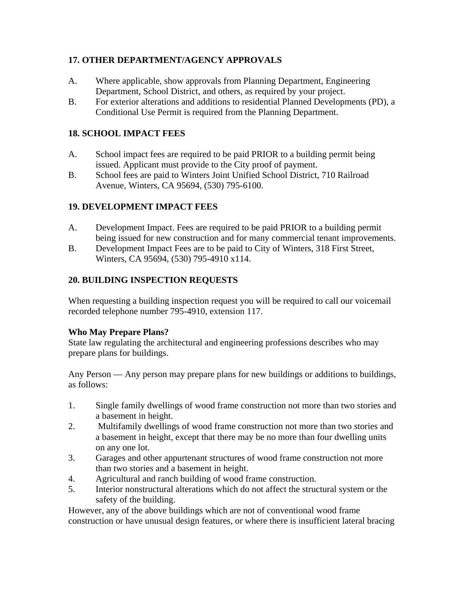### **17. OTHER DEPARTMENT/AGENCY APPROVALS**

- A. Where applicable, show approvals from Planning Department, Engineering Department, School District, and others, as required by your project.
- B. For exterior alterations and additions to residential Planned Developments (PD), a Conditional Use Permit is required from the Planning Department.

### **18. SCHOOL IMPACT FEES**

- A. School impact fees are required to be paid PRIOR to a building permit being issued. Applicant must provide to the City proof of payment.
- B. School fees are paid to Winters Joint Unified School District, 710 Railroad Avenue, Winters, CA 95694, (530) 795-6100.

### **19. DEVELOPMENT IMPACT FEES**

- A. Development Impact. Fees are required to be paid PRIOR to a building permit being issued for new construction and for many commercial tenant improvements.
- B. Development Impact Fees are to be paid to City of Winters, 318 First Street, Winters, CA 95694, (530) 795-4910 x114.

#### **20. BUILDING INSPECTION REQUESTS**

When requesting a building inspection request you will be required to call our voicemail recorded telephone number 795-4910, extension 117.

#### **Who May Prepare Plans?**

State law regulating the architectural and engineering professions describes who may prepare plans for buildings.

Any Person — Any person may prepare plans for new buildings or additions to buildings, as follows:

- 1. Single family dwellings of wood frame construction not more than two stories and a basement in height.
- 2. Multifamily dwellings of wood frame construction not more than two stories and a basement in height, except that there may be no more than four dwelling units on any one lot.
- 3. Garages and other appurtenant structures of wood frame construction not more than two stories and a basement in height.
- 4. Agricultural and ranch building of wood frame construction.
- 5. Interior nonstructural alterations which do not affect the structural system or the safety of the building.

However, any of the above buildings which are not of conventional wood frame construction or have unusual design features, or where there is insufficient lateral bracing